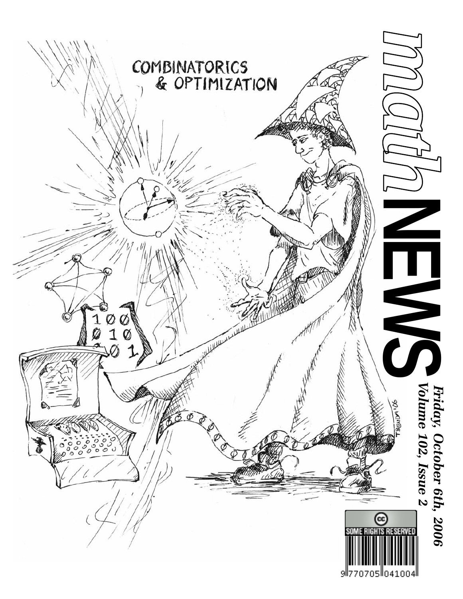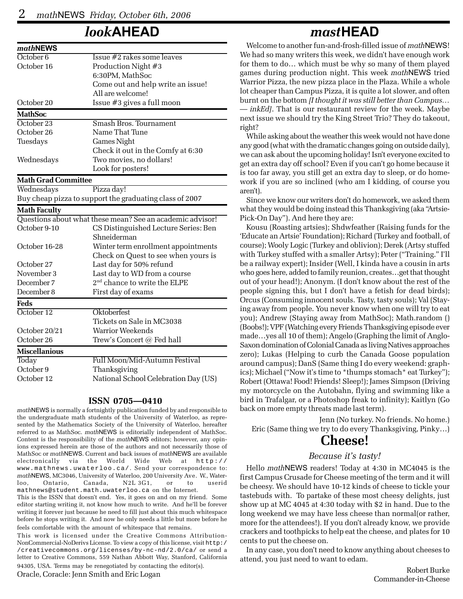### *look***AHEAD**

| mathNEWS                   |                                                           |
|----------------------------|-----------------------------------------------------------|
| October <sub>6</sub>       | Issue #2 rakes some leaves                                |
| October 16                 | Production Night #3                                       |
|                            | 6:30PM, MathSoc                                           |
|                            | Come out and help write an issue!                         |
|                            | All are welcome!                                          |
| October 20                 | Issue #3 gives a full moon                                |
| <b>MathSoc</b>             |                                                           |
| October 23                 | Smash Bros. Tournament                                    |
| October 26                 | Name That Tune                                            |
| Tuesdays                   | <b>Games Night</b>                                        |
|                            | Check it out in the Comfy at 6:30                         |
| Wednesdays                 | Two movies, no dollars!                                   |
|                            | Look for posters!                                         |
| <b>Math Grad Committee</b> |                                                           |
| Wednesdays                 | Pizza day!                                                |
|                            | Buy cheap pizza to support the graduating class of 2007   |
| <b>Math Faculty</b>        |                                                           |
|                            | Questions about what these mean? See an academic advisor! |
| October 9-10               | CS Distinguished Lecture Series: Ben                      |
|                            | Shneiderman                                               |
| October 16-28              | Winter term enrollment appointments                       |
|                            | Check on Quest to see when yours is                       |
| October 27                 | Last day for 50% refund                                   |
| November 3                 | Last day to WD from a course                              |
| December 7                 | 2 <sup>nd</sup> chance to write the ELPE                  |
| December 8                 | First day of exams                                        |
| Feds                       |                                                           |
| October 12                 | Oktoberfest                                               |
|                            | Tickets on Sale in MC3038                                 |
| October 20/21              | Warrior Weekends                                          |
| October 26                 | Trew's Concert @ Fed hall                                 |
| <b>Miscellanious</b>       |                                                           |
| Today                      | Full Moon/Mid-Autumn Festival                             |
| October 9                  | Thanksgiving                                              |
| October 12                 | National School Celebration Day (US)                      |

#### **ISSN 0705—0410**

*math*NEWS is normally a fortnightly publication funded by and responsible to the undergraduate math students of the University of Waterloo, as represented by the Mathematics Society of the University of Waterloo, hereafter referred to as MathSoc. *math*NEWS is editorially independent of MathSoc. Content is the responsibility of the *math*NEWS editors; however, any opinions expressed herein are those of the authors and not necessarily those of MathSoc or *math*NEWS. Current and back issues of *math*NEWS are available electronically via the World Wide Web at http:// www.mathnews.uwaterloo.ca/. Send your correspondence to: *math*NEWS, MC3046, University of Waterloo, 200 University Ave. W., Waterloo, Ontario, Canada, N2L 3G1, or to userid mathnews@student.math.uwaterloo.ca on the Internet.

This is the ISSN that doesn't end. Yes, it goes on and on my friend. Some editor starting writing it, not know how much to write. And he'll be forever writing it forever just because he need to fill just about this much whitespace before he stops writing it. And now he only needs a little but more before he feels comfortable with the amount of whitespace that remains.

This work is licensed under the Creative Commons Attribution-NonCommercial-NoDerivs License. To view a copy of this license, visit http:/ /creativecommons.org/licenses/by-nc-nd/2.0/ca/ or send a letter to Creative Commons, 559 Nathan Abbott Way, Stanford, California 94305, USA. Terms may be renegotiated by contacting the editor(s).

Oracle, Coracle: Jenn Smith and Eric Logan

### *mast***HEAD**

Welcome to another fun-and-frosh-filled issue of *math*NEWS! We had so many writers this week, we didn't have enough work for them to do… which must be why so many of them played games during production night. This week *math*NEWS tried Warrior Pizza, the new pizza place in the Plaza. While a whole lot cheaper than Campus Pizza, it is quite a lot slower, and often burnt on the bottom *[I thought it was still better than Campus… — inkEd]*. That is our restaurant review for the week. Maybe next issue we should try the King Street Trio? They do takeout, right?

While asking about the weather this week would not have done any good (what with the dramatic changes going on outside daily), we can ask about the upcoming holiday! Isn't everyone excited to get an extra day off school? Even if you can't go home because it is too far away, you still get an extra day to sleep, or do homework if you are so inclined (who am I kidding, of course you aren't).

Since we know our writers don't do homework, we asked them what they would be doing instead this Thanksgiving (aka "Artsie-Pick-On Day"). And here they are:

Kousu (Roasting artsies); Shdwfeather (Raising funds for the 'Educate an Artsie' Foundation); Richard (Turkey and football, of course); Wooly Logic (Turkey and oblivion); Derek (Artsy stuffed with Turkey stuffed with a smaller Artsy); Peter ("Training." I'll be a railway expert); Insider (Well, I kinda have a cousin in arts who goes here, added to family reunion, creates…get that thought out of your head!); Anonym. (I don't know about the rest of the people signing this, but I don't have a fetish for dead birds); Orcus (Consuming innocent souls. Tasty, tasty souls); Val (Staying away from people. You never know when one will try to eat you); Andrew (Staying away from MathSoc); Math.random () (Boobs!); VPF (Watching every Friends Thanksgiving episode ever made…yes all 10 of them); Angelo (Graphing the limit of Anglo-Saxon domination of Colonial Canada as living Natives approaches zero); Lukas (Helping to curb the Canada Goose population around campus); DanS (Same thing I do every weekend: graphics); Michael ("Now it's time to \*thumps stomach\* eat Turkey"); Robert (Ottawa! Food! Friends! Sleep!); James Simpson (Driving my motorcycle on the Autobahn, flying and swimming like a bird in Trafalgar, or a Photoshop freak to infinity); Kaitlyn (Go back on more empty threats made last term).

Jenn (No turkey. No friends. No home.) Eric (Same thing we try to do every Thanksgiving, Pinky…)

### **Cheese!**

#### *Because it's tasty!*

Hello *math*NEWS readers! Today at 4:30 in MC4045 is the first Campus Crusade for Cheese meeting of the term and it will be cheesy. We should have 10-12 kinds of cheese to tickle your tastebuds with. To partake of these most cheesy delights, just show up at MC 4045 at 4:30 today with \$2 in hand. Due to the long weekend we may have less cheese than normal(or rather, more for the attendees!). If you don't already know, we provide crackers and toothpicks to help eat the cheese, and plates for 10 cents to put the cheese on.

In any case, you don't need to know anything about cheeses to attend, you just need to want to edam.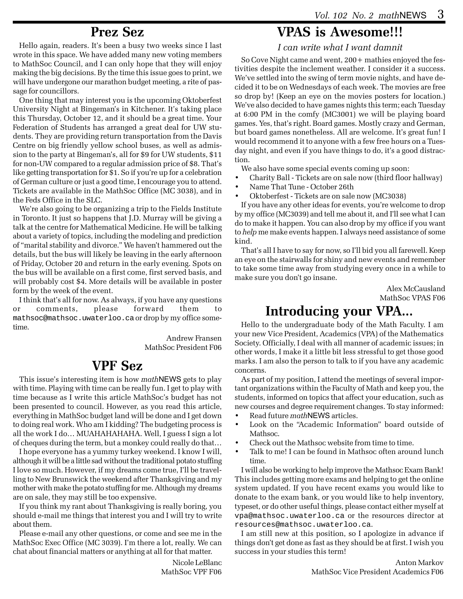### **Prez Sez**

Hello again, readers. It's been a busy two weeks since I last wrote in this space. We have added many new voting members to MathSoc Council, and I can only hope that they will enjoy making the big decisions. By the time this issue goes to print, we will have undergone our marathon budget meeting, a rite of passage for councillors.

One thing that may interest you is the upcoming Oktoberfest University Night at Bingeman's in Kitchener. It's taking place this Thursday, October 12, and it should be a great time. Your Federation of Students has arranged a great deal for UW students. They are providing return transportation from the Davis Centre on big friendly yellow school buses, as well as admission to the party at Bingeman's, all for \$9 for UW students, \$11 for non-UW compared to a regular admission price of \$8. That's like getting transportation for \$1. So if you're up for a celebration of German culture or just a good time, I encourage you to attend. Tickets are available in the MathSoc Office (MC 3038), and in the Feds Office in the SLC.

We're also going to be organizing a trip to the Fields Institute in Toronto. It just so happens that J.D. Murray will be giving a talk at the centre for Mathematical Medicine. He will be talking about a variety of topics, including the modeling and prediction of "marital stability and divorce." We haven't hammered out the details, but the bus will likely be leaving in the early afternoon of Friday, October 20 and return in the early evening. Spots on the bus will be available on a first come, first served basis, and will probably cost \$4. More details will be available in poster form by the week of the event.

I think that's all for now. As always, if you have any questions or comments, please forward them to mathsoc@mathsoc.uwaterloo.ca or drop by my office sometime.

> Andrew Fransen MathSoc President F06

### **VPF Sez**

This issue's interesting item is how *math*NEWS gets to play with time. Playing with time can be really fun. I get to play with time because as I write this article MathSoc's budget has not been presented to council. However, as you read this article, everything in MathSoc budget land will be done and I get down to doing real work. Who am I kidding? The budgeting process is all the work I do… MUAHAHAHAHA. Well, I guess I sign a lot of cheques during the term, but a monkey could really do that…

I hope everyone has a yummy turkey weekend. I know I will, although it will be a little sad without the traditional potato stuffing I love so much. However, if my dreams come true, I'll be travelling to New Brunswick the weekend after Thanksgiving and my mother with make the potato stuffing for me. Although my dreams are on sale, they may still be too expensive.

If you think my rant about Thanksgiving is really boring, you should e-mail me things that interest you and I will try to write about them.

Please e-mail any other questions, or come and see me in the MathSoc Exec Office (MC 3039). I'm there a lot, really. We can chat about financial matters or anything at all for that matter.

> Nicole LeBlanc MathSoc VPF F06

### **VPAS is Awesome!!!**

#### *I can write what I want damnit*

So Cove Night came and went, 200+ mathies enjoyed the festivities despite the inclement weather. I consider it a success. We've settled into the swing of term movie nights, and have decided it to be on Wednesdays of each week. The movies are free so drop by! (Keep an eye on the movies posters for location.) We've also decided to have games nights this term; each Tuesday at 6:00 PM in the comfy (MC3001) we will be playing board games. Yes, that's right. Board games. Mostly crazy and German, but board games nonetheless. All are welcome. It's great fun! I would recommend it to anyone with a few free hours on a Tuesday night, and even if you have things to do, it's a good distraction.

We also have some special events coming up soon:

- Charity Ball Tickets are on sale now (third floor hallway)
- Name That Tune October 26th
- Oktoberfest Tickets are on sale now (MC3038)

If you have any other ideas for events, you're welcome to drop by my office (MC3039) and tell me about it, and I'll see what I can do to make it happen. You can also drop by my office if you want to *help* me make events happen. I always need assistance of some kind.

That's all I have to say for now, so I'll bid you all farewell. Keep an eye on the stairwalls for shiny and new events and remember to take some time away from studying every once in a while to make sure you don't go insane.

> Alex McCausland MathSoc VPAS F06

### **Introducing your VPA...**

Hello to the undergraduate body of the Math Faculty. I am your new Vice President, Academics (VPA) of the Mathematics Society. Officially, I deal with all manner of academic issues; in other words, I make it a little bit less stressful to get those good marks. I am also the person to talk to if you have any academic concerns.

As part of my position, I attend the meetings of several important organizations within the Faculty of Math and keep you, the students, informed on topics that affect your education, such as new courses and degree requirement changes. To stay informed:

- Read future *math*NEWS articles.
- Look on the "Academic Information" board outside of Mathsoc.
- Check out the Mathsoc website from time to time.
- Talk to me! I can be found in Mathsoc often around lunch time.

I will also be working to help improve the Mathsoc Exam Bank! This includes getting more exams and helping to get the online system updated. If you have recent exams you would like to donate to the exam bank, or you would like to help inventory, typeset, or do other useful things, please contact either myself at vpa@mathsoc.uwaterloo.ca or the resources director at resources@mathsoc.uwaterloo.ca.

I am still new at this position, so I apologize in advance if things don't get done as fast as they should be at first. I wish you success in your studies this term!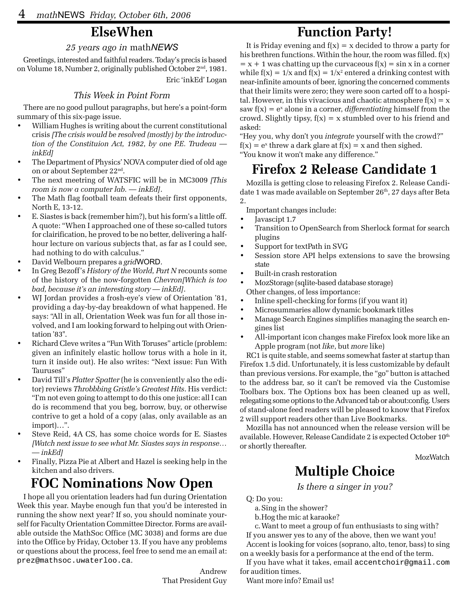### **ElseWhen**

#### *25 years ago in* math*NEWS*

Greetings, interested and faithful readers. Today's precis is based on Volume 18, Number 2, originally published October 2<sup>nd</sup>, 1981.

Eric 'inkEd' Logan

#### *This Week in Point Form*

There are no good pullout paragraphs, but here's a point-form summary of this six-page issue.

- William Hughes is writing about the current constitutional crisis *[The crisis would be resolved (mostly) by the introduction of the Constituion Act, 1982, by one P.E. Trudeau inkEd]*
- The Department of Physics' NOVA computer died of old age on or about September 22nd.
- The next meetring of WATSFIC will be in MC3009 *[This room is now a computer lab. — inkEd]*.
- The Math flag football team defeats their first opponents, North E, 13-12.
- E. Siastes is back (remember him?), but his form's a little off. A quote: "When I approached one of these so-called tutors for clairification, he proved to be no better, delivering a halfhour lecture on various subjects that, as far as I could see, had nothing to do with calculus."
- David Welbourn prepares a *grid*WORD.
- In Greg Bezoff's *History of the World, Part N* recounts some of the history of the now-forgotten *Chevron[Which is too bad, because it's an interesting story — inkEd]*.
- WJ Jordan provides a frosh-eye's view of Orientation '81, providing a day-by-day breakdown of what happened. He says: "All in all, Orientation Week was fun for all those involved, and I am looking forward to helping out with Orientation '83".
- Richard Cleve writes a "Fun With Toruses" article (problem: given an infinitely elastic hollow torus with a hole in it, turn it inside out). He also writes: "Next issue: Fun With Tauruses"
- David Till's *Platter Spatter* (he is conveniently also the editor) reviews *Throbbbing Gristle's Greatest Hits*. His verdict: "I'm not even going to attempt to do this one justice: all I can do is recommend that you beg, borrow, buy, or otherwise contrive to get a hold of a copy (alas, only available as an import)…".
- Steve Reid, 4A CS, has some choice words for E. Siastes *[Watch next issue to see what Mr. Siastes says in response… — inkEd]*
- Finally, Pizza Pie at Albert and Hazel is seeking help in the kitchen and also drivers.

### **FOC Nominations Now Open**

I hope all you orientation leaders had fun during Orientation Week this year. Maybe enough fun that you'd be interested in running the show next year? If so, you should nominate yourself for Faculty Orientation Committee Director. Forms are available outside the MathSoc Office (MC 3038) and forms are due into the Office by Friday, October 13. If you have any problems or questions about the process, feel free to send me an email at: prez@mathsoc.uwaterloo.ca.

> Andrew That President Guy

### **Function Party!**

It is Friday evening and  $f(x) = x$  decided to throw a party for his brethren functions. Within the hour, the room was filled. f(x)  $=$  x + 1 was chatting up the curvaceous  $f(x) = \sin x$  in a corner while f(x) =  $1/x$  and f(x) =  $1/x^2$  entered a drinking contest with near-infinite amounts of beer, ignoring the concerned comments that their limits were zero; they were soon carted off to a hospital. However, in this vivacious and chaotic atmosphere  $f(x) = x$ saw  $f(x) = e^x$  alone in a corner, *differentiating* himself from the crowd. Slightly tipsy,  $f(x) = x$  stumbled over to his friend and asked:

"Hey you, why don't you *integrate* yourself with the crowd?"  $f(x) = e^x$  threw a dark glare at  $f(x) = x$  and then sighed. "You know it won't make any difference."

### **Firefox 2 Release Candidate 1**

Mozilla is getting close to releasing Firefox 2. Release Candidate 1 was made available on September 26<sup>th</sup>, 27 days after Beta 2.

- Important changes include:
- Javascipt 1.7
- Transition to OpenSearch from Sherlock format for search plugins
- Support for textPath in SVG
- Session store API helps extensions to save the browsing state
- Built-in crash restoration
- MozStorage (sqlite-based database storage) Other changes, of less importance:
- Inline spell-checking for forms (if you want it)
- Microsummaries allow dynamic bookmark titles
- Manage Search Engines simplifies managing the search engines list
- All-important icon changes make Firefox look more like an Apple program (not *like*, but *more* like)

RC1 is quite stable, and seems somewhat faster at startup than Firefox 1.5 did. Unfortunately, it is less customizable by default than previous versions. For example, the "go" button is attached to the address bar, so it can't be removed via the Customise Toolbars box. The Options box has been cleaned up as well, relegating some options to the Advanced tab or about:config. Users of stand-alone feed readers will be pleased to know that Firefox 2 will support readers other than Live Bookmarks.

Mozilla has not announced when the release version will be available. However, Release Candidate 2 is expected October 10<sup>th</sup> or shortly thereafter.

**MozWatch** 

### **Multiple Choice**

*Is there a singer in you?*

Q: Do you:

a.Sing in the shower?

b.Hog the mic at karaoke?

c.Want to meet a group of fun enthusiasts to sing with? If you answer yes to any of the above, then we want you! Accent is looking for voices (soprano, alto, tenor, bass) to sing on a weekly basis for a performance at the end of the term.

If you have what it takes, email accentchoir@gmail.com for audition times.

Want more info? Email us!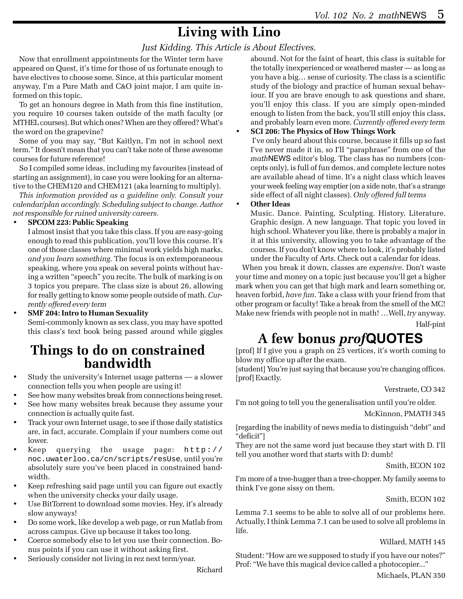### **Living with Lino**

#### *Just Kidding. This Article is About Electives.*

Now that enrollment appointments for the Winter term have appeared on Quest, it's time for those of us fortunate enough to have electives to choose some. Since, at this particular moment anyway, I'm a Pure Math and C&O joint major, I am quite informed on this topic.

To get an honours degree in Math from this fine institution, you require 10 courses taken outside of the math faculty (or MTHEL courses). But which ones? When are they offered? What's the word on the grapevine?

Some of you may say, "But Kaitlyn, I'm not in school next term." It doesn't mean that you can't take note of these awesome courses for future reference!

So I compiled some ideas, including my favourites (instead of starting an assignment), in case you were looking for an alternative to the CHEM120 and CHEM121 (aka learning to multiply).

*This information provided as a guideline only. Consult your calendar/plan accordingly. Scheduling subject to change. Author not responsible for ruined university careers.*

#### • **SPCOM 223: Public Speaking**

I almost insist that you take this class. If you are easy-going enough to read this publication, you'll love this course. It's one of those classes where minimal work yields high marks, *and you learn something*. The focus is on extemporaneous speaking, where you speak on several points without having a written "speech" you recite. The bulk of marking is on 3 topics you prepare. The class size is about 26, allowing for really getting to know some people outside of math. *Currently offered every term*

#### • **SMF 204: Intro to Human Sexuality**

Semi-commonly known as sex class, you may have spotted this class's text book being passed around while giggles

## **Things to do on constrained bandwidth**

- Study the university's Internet usage patterns a slower connection tells you when people are using it!
- See how many websites break from connections being reset.
- See how many websites break because they assume your connection is actually quite fast.
- Track your own Internet usage, to see if those daily statistics are, in fact, accurate. Complain if your numbers come out lower.
- Keep querying the usage page:  $h \text{ttp}: //$ noc.uwaterloo.ca/cn/scripts/resUse, until you're absolutely sure you've been placed in constrained bandwidth.
- Keep refreshing said page until you can figure out exactly when the university checks your daily usage.
- Use BitTorrent to download some movies. Hey, it's already slow anyways!
- Do some work, like develop a web page, or run Matlab from across campus. Give up because it takes too long.
- Coerce somebody else to let you use their connection. Bonus points if you can use it without asking first.
- Seriously consider not living in rez next term/year.

abound. Not for the faint of heart, this class is suitable for the totally inexperienced or weathered master — as long as you have a big… sense of curiosity. The class is a scientific study of the biology and practice of human sexual behaviour. If you are brave enough to ask questions and share, you'll enjoy this class. If you are simply open-minded enough to listen from the back, you'll still enjoy this class, and probably learn even more. *Currently offered every term*

#### • **SCI 206: The Physics of How Things Work**

 I've only heard about this course, because it fills up so fast I've never made it in, so I'll "paraphrase" from one of the *math*NEWS editor's blog. The class has no numbers (concepts only), is full of fun demos, and complete lecture notes are available ahead of time. It's a night class which leaves your week feeling way emptier (on a side note, that's a strange side effect of all night classes). *Only offered fall terms*

#### • **Other Ideas**

Music. Dance. Painting. Sculpting. History. Literature. Graphic design. A new language. That topic you loved in high school. Whatever you like, there is probably a major in it at this university, allowing you to take advantage of the courses. If you don't know where to look, it's probably listed under the Faculty of Arts. Check out a calendar for ideas.

When you break it down, classes are *expensive*. Don't waste your time and money on a topic just because you'll get a higher mark when you can get that high mark and learn something or, heaven forbid, *have fun*. Take a class with your friend from that other program or faculty! Take a break from the smell of the MC! Make new friends with people not in math! …Well, *try* anyway. Half-pint

### **A few bonus** *prof***QUOTES**

[prof] If I give you a graph on 25 vertices, it's worth coming to blow my office up after the exam.

[student] You're just saying that because you're changing offices. [prof] Exactly.

#### Verstraete, CO 342

I'm not going to tell you the generalisation until you're older.

McKinnon, PMATH 345

[regarding the inability of news media to distinguish "debt" and "deficit"]

They are not the same word just because they start with D. I'll tell you another word that starts with D: dumb!

Smith, ECON 102

I'm more of a tree-hugger than a tree-chopper. My family seems to think I've gone sissy on them.

#### Smith, ECON 102

Lemma 7.1 seems to be able to solve all of our problems here. Actually, I think Lemma 7.1 can be used to solve all problems in life.

#### Willard, MATH 145

Student: "How are we supposed to study if you have our notes?" Prof: "We have this magical device called a photocopier..."

Richard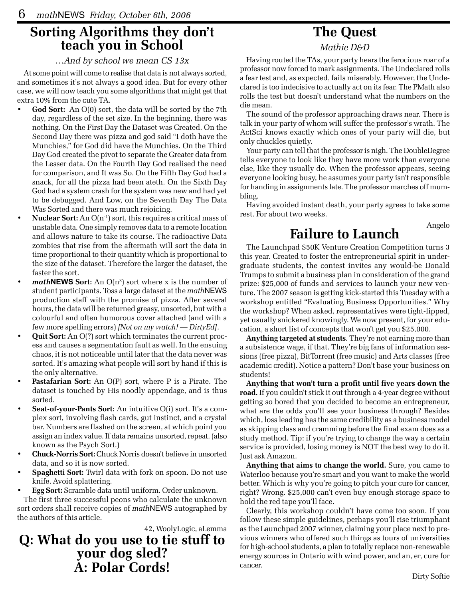## **Sorting Algorithms they don't teach you in School**

#### *…And by school we mean CS 13x*

At some point will come to realise that data is not always sorted, and sometimes it's not always a good idea. But for every other case, we will now teach you some algorithms that might get that extra 10% from the cute TA.

- **God Sort:** An O(0) sort, the data will be sorted by the 7th day, regardless of the set size. In the beginning, there was nothing. On the First Day the Dataset was Created. On the Second Day there was pizza and god said "I doth have the Munchies," for God did have the Munchies. On the Third Day God created the pivot to separate the Greater data from the Lesser data. On the Fourth Day God realised the need for comparison, and It was So. On the Fifth Day God had a snack, for all the pizza had been ateth. On the Sixth Day God had a system crash for the system was new and had yet to be debugged. And Low, on the Seventh Day The Data Was Sorted and there was much rejoicing.
- **Nuclear Sort:** An O(n-1) sort, this requires a critical mass of unstable data. One simply removes data to a remote location and allows nature to take its course. The radioactive Data zombies that rise from the aftermath will sort the data in time proportional to their quantity which is proportional to the size of the dataset. Therefore the larger the dataset, the faster the sort.
- *math***NEWS** Sort: An O(n<sup>x</sup>) sort where x is the number of student participants. Toss a large dataset at the *math*NEWS production staff with the promise of pizza. After several hours, the data will be returned greasy, unsorted, but with a colourful and often humorous cover attached (and with a few more spelling errors) *[Not on my watch! — DirtyEd]*.
- **Quit Sort:** An O(?) sort which terminates the current process and causes a segmentation fault as well. In the ensuing chaos, it is not noticeable until later that the data never was sorted. It's amazing what people will sort by hand if this is the only alternative.
- **Pastafarian Sort:** An O(P) sort, where P is a Pirate. The dataset is touched by His noodly appendage, and is thus sorted.
- **Seat-of-your-Pants Sort:** An intuitive O(i) sort. It's a complex sort, involving flash cards, gut instinct, and a crystal bar. Numbers are flashed on the screen, at which point you assign an index value. If data remains unsorted, repeat. (also known as the Psych Sort.)
- **Chuck-Norris Sort:** Chuck Norris doesn't believe in unsorted data, and so it is now sorted.
- **Spaghetti Sort:** Twirl data with fork on spoon. Do not use knife. Avoid splattering.

• **Egg Sort:** Scramble data until uniform. Order unknown.

The first three successful peons who calculate the unknown sort orders shall receive copies of *math*NEWS autographed by the authors of this article.

42, WoolyLogic, aLemma

### **Q: What do you use to tie stuff to your dog sled?**<br>A: Polar Cords!

### **The Quest**

*Mathie D&D*

Having routed the TAs, your party hears the ferocious roar of a professor now forced to mark assignments. The Undeclared rolls a fear test and, as expected, fails miserably. However, the Undeclared is too indecisive to actually act on its fear. The PMath also rolls the test but doesn't understand what the numbers on the die mean.

The sound of the professor approaching draws near. There is talk in your party of whom will suffer the professor's wrath. The ActSci knows exactly which ones of your party will die, but only chuckles quietly.

Your party can tell that the professor is nigh. The DoubleDegree tells everyone to look like they have more work than everyone else, like they usually do. When the professor appears, seeing everyone looking busy, he assumes your party isn't responsible for handing in assignments late. The professor marches off mumbling.

Having avoided instant death, your party agrees to take some rest. For about two weeks.

### **Failure to Launch**

The Launchpad \$50K Venture Creation Competition turns 3 this year. Created to foster the entrepreneurial spirit in undergraduate students, the contest invites any would-be Donald Trumps to submit a business plan in consideration of the grand prize: \$25,000 of funds and services to launch your new venture. The 2007 season is getting kick-started this Tuesday with a workshop entitled "Evaluating Business Opportunities." Why the workshop? When asked, representatives were tight-lipped, yet usually snickered knowingly. We now present, for your education, a short list of concepts that won't get you \$25,000.

**Anything targeted at students**. They're not earning more than a subsistence wage, if that. They're big fans of information sessions (free pizza), BitTorrent (free music) and Arts classes (free academic credit). Notice a pattern? Don't base your business on students!

**Anything that won't turn a profit until five years down the road.** If you couldn't stick it out through a 4-year degree without getting so bored that you decided to become an entrepreneur, what are the odds you'll see your business through? Besides which, loss leading has the same credibility as a business model as skipping class and cramming before the final exam does as a study method. Tip: if you're trying to change the way a certain service is provided, losing money is NOT the best way to do it. Just ask Amazon.

**Anything that aims to change the world.** Sure, you came to Waterloo because you're smart and you want to make the world better. Which is why you're going to pitch your cure for cancer, right? Wrong. \$25,000 can't even buy enough storage space to hold the red tape you'll face.

Clearly, this workshop couldn't have come too soon. If you follow these simple guidelines, perhaps you'll rise triumphant as the Launchpad 2007 winner, claiming your place next to previous winners who offered such things as tours of universities for high-school students, a plan to totally replace non-renewable energy sources in Ontario with wind power, and an, er, cure for cancer.

Angelo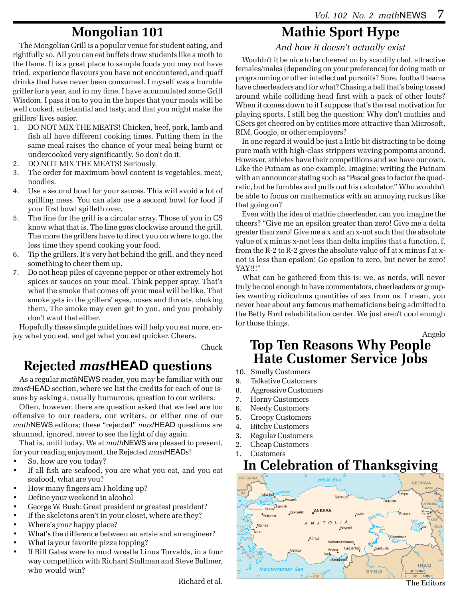### **Mongolian 101**

The Mongolian Grill is a popular venue for student eating, and rightfully so. All you can eat buffets draw students like a moth to the flame. It is a great place to sample foods you may not have tried, experience flavours you have not encountered, and quaff drinks that have never been consumed. I myself was a humble griller for a year, and in my time, I have accumulated some Grill Wisdom. I pass it on to you in the hopes that your meals will be well cooked, substantial and tasty, and that you might make the grillers' lives easier.

- 1. DO NOT MIX THE MEATS! Chicken, beef, pork, lamb and fish all have different cooking times. Putting them in the same meal raises the chance of your meal being burnt or undercooked very significantly. So don't do it.
- 2. DO NOT MIX THE MEATS! Seriously.
- 3. The order for maximum bowl content is vegetables, meat, noodles.
- 4. Use a second bowl for your sauces. This will avoid a lot of spilling mess. You can also use a second bowl for food if your first bowl spilleth over.
- 5. The line for the grill is a circular array. Those of you in CS know what that is. The line goes clockwise around the grill. The more the grillers have to direct you on where to go, the less time they spend cooking your food.
- 6. Tip the grillers. It's very hot behind the grill, and they need something to cheer them up.
- 7. Do not heap piles of cayenne pepper or other extremely hot spices or sauces on your meal. Think pepper spray. That's what the smoke that comes off your meal will be like. That smoke gets in the grillers' eyes, noses and throats, choking them. The smoke may even get to you, and you probably don't want that either.

Hopefully these simple guidelines will help you eat more, enjoy what you eat, and get what you eat quicker. Cheers.

Chuck

### **Rejected** *mast***HEAD questions**

As a regular *math*NEWS reader, you may be familiar with our *mast*HEAD section, where we list the credits for each of our issues by asking a, usually humurous, question to our writers.

Often, however, there are question asked that we feel are too offensive to our readers, our writers, or either one of our *math*NEWS editors; these "rejected" *mast*HEAD questions are shunned, ignored, never to see the light of day again.

That is, until today. We at *math*NEWS are pleased to present, for your reading enjoyment, the Rejected *mast*HEADs!

- So, how are you today?
- If all fish are seafood, you are what you eat, and you eat seafood, what are you?
- How many fingers am I holding up?
- Define your weekend in alcohol
- George W. Bush: Great president or greatest president?
- If the skeletons aren't in your closet, where are they?
- Where's *your* happy place?
- What's the difference between an artsie and an engineer?
- What is your favorite pizza topping?
- If Bill Gates were to mud wrestle Linus Torvalds, in a four way competition with Richard Stallman and Steve Ballmer, who would win?

Richard et al.

### **Mathie Sport Hype**

*And how it doesn't actually exist*

Wouldn't it be nice to be cheered on by scantily clad, attractive females/males (depending on your preference) for doing math or programming or other intellectual pursuits? Sure, football teams have cheerleaders and for what? Chasing a ball that's being tossed around while colliding head first with a pack of other louts? When it comes down to it I suppose that's the real motivation for playing sports. I still beg the question: Why don't mathies and CSers get cheered on by entities more attractive than Microsoft, RIM, Google, or other employers?

In one regard it would be just a little bit distracting to be doing pure math with high-class strippers waving pompoms around. However, athletes have their competitions and we have our own. Like the Putnam as one example. Imagine: writing the Putnam with an announcer stating such as "Pascal goes to factor the quadratic, but he fumbles and pulls out his calculator." Who wouldn't be able to focus on mathematics with an annoying ruckus like that going on?

Even with the idea of mathie cheerleader, can you imagine the cheers? "Give me an epsilon greater than zero! Give me a delta greater than zero! Give me a x and an x-not such that the absolute value of x minus x-not less than delta implies that a function, f, from the R-2 to R-2 gives the absolute value of f at x minus f at xnot is less than epsilon! Go epsilon to zero, but never be zero! YAY!!!"

What can be gathered from this is: we, as nerds, will never truly be cool enough to have commentators, cheerleaders or groupies wanting ridiculous quantities of sex from us. I mean, you never hear about any famous mathematicians being admitted to the Betty Ford rehabilitation center. We just aren't cool enough for those things.

Angelo

The Editors

### **Top Ten Reasons Why People Hate Customer Service Jobs**

- 10. Smelly Customers
- 9. Talkative Customers
- 8. Aggressive Customers
- 7. Horny Customers
- 6. Needy Customers
- 5. Creepy Customers
- 4. Bitchy Customers
- 3. Regular Customers
- 2. Cheap Customers
- 1. Customers

### **In Celebration of Thanksgiving**

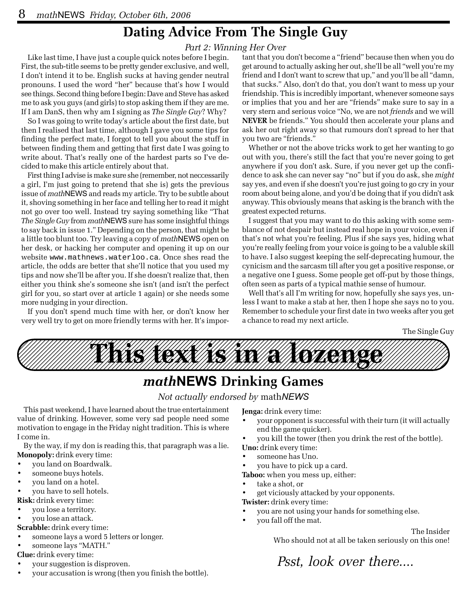### **Dating Advice From The Single Guy**

#### *Part 2: Winning Her Over*

Like last time, I have just a couple quick notes before I begin. First, the sub-title seems to be pretty gender exclusive, and well, I don't intend it to be. English sucks at having gender neutral pronouns. I used the word "her" because that's how I would see things. Second thing before I begin: Dave and Steve has asked me to ask you guys (and girls) to stop asking them if they are me. If I am DanS, then why am I signing as *The Single Guy*? Why?

So I was going to write today's article about the first date, but then I realised that last time, although I gave you some tips for finding the perfect mate, I forgot to tell you about the stuff in between finding them and getting that first date I was going to write about. That's really one of the hardest parts so I've decided to make this article entirely about that.

First thing I advise is make sure she (remember, not neccessarily a girl, I'm just going to pretend that she is) gets the previous issue of *math*NEWS and reads my article. Try to be subtle about it, shoving something in her face and telling her to read it might not go over too well. Instead try saying something like "That *The Single Guy* from *math*NEWS sure has some insightful things to say back in issue 1." Depending on the person, that might be a little too blunt too. Try leaving a copy of *math*NEWS open on her desk, or hacking her computer and opening it up on our website www.mathnews.waterloo.ca. Once shes read the article, the odds are better that she'll notice that you used my tips and now she'll be after you. If she doesn't realize that, then either you think she's someone she isn't (and isn't the perfect girl for you, so start over at article 1 again) or she needs some more nudging in your direction.

If you don't spend much time with her, or don't know her very well try to get on more friendly terms with her. It's impor-

tant that you don't become a "friend" because then when you do get around to actually asking her out, she'll be all "well you're my friend and I don't want to screw that up," and you'll be all "damn, that sucks." Also, don't do that, you don't want to mess up your friendship. This is incredibly important, whenever someone says or implies that you and her are "friends" make sure to say in a very stern and serious voice "No, we are not *friends* and we will **NEVER** be friends." You should then accelerate your plans and ask her out right away so that rumours don't spread to her that you two are "friends."

Whether or not the above tricks work to get her wanting to go out with you, there's still the fact that you're never going to get anywhere if you don't ask. Sure, if you never get up the confidence to ask she can never say "no" but if you do ask, she *might* say yes, and even if she doesn't you're just going to go cry in your room about being alone, and you'd be doing that if you didn't ask anyway. This obviously means that asking is the branch with the greatest expected returns.

I suggest that you may want to do this asking with some semblance of not despair but instead real hope in your voice, even if that's not what you're feeling. Plus if she says yes, hiding what you're really feeling from your voice is going to be a valuble skill to have. I also suggest keeping the self-deprecating humour, the cynicism and the sarcasm till after you get a positive response, or a negative one I guess. Some people get off-put by those things, often seen as parts of a typical mathie sense of humour.

Well that's all I'm writing for now, hopefully she says yes, unless I want to make a stab at her, then I hope she says no to you. Remember to schedule your first date in two weeks after you get a chance to read my next article.

The Single Guy



### *math***NEWS Drinking Games**

#### *Not actually endorsed by* math*NEWS*

This past weekend, I have learned about the true entertainment value of drinking. However, some very sad people need some motivation to engage in the Friday night tradition. This is where I come in.

By the way, if my don is reading this, that paragraph was a lie. **Monopoly:** drink every time:

- you land on Boardwalk.
- someone buys hotels.
- you land on a hotel.
- you have to sell hotels.
- **Risk:** drink every time:
- you lose a territory.
- you lose an attack.
- **Scrabble:** drink every time:
- someone lays a word 5 letters or longer.
- someone lays "MATH."

**Clue:** drink every time:

- your suggestion is disproven.
- your accusation is wrong (then you finish the bottle).

**Jenga:** drink every time:

- your opponent is successful with their turn (it will actually end the game quicker).
- you kill the tower (then you drink the rest of the bottle).

**Uno:** drink every time:

- someone has Uno.
- you have to pick up a card.
- **Taboo:** when you mess up, either:
- take a shot, or
- get viciously attacked by your opponents.

**Twister:** drink every time:

- you are not using your hands for something else.
- you fall off the mat.

The Insider Who should not at all be taken seriously on this one!

*Psst, look over there....*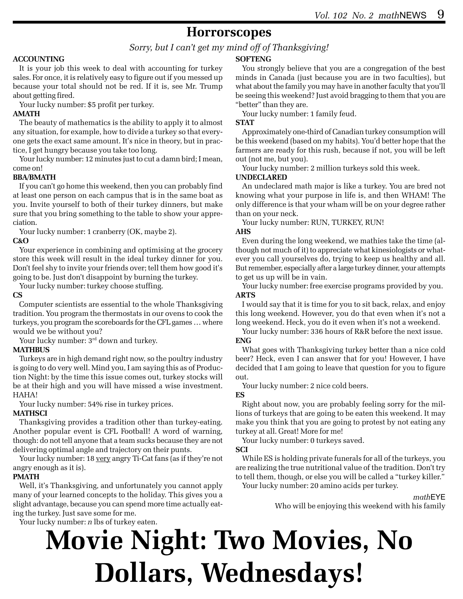### **Horrorscopes**

#### *Sorry, but I can't get my mind off of Thanksgiving!*

#### **ACCOUNTING**

It is your job this week to deal with accounting for turkey sales. For once, it is relatively easy to figure out if you messed up because your total should not be red. If it is, see Mr. Trump about getting fired.

Your lucky number: \$5 profit per turkey.

#### **AMATH**

The beauty of mathematics is the ability to apply it to almost any situation, for example, how to divide a turkey so that everyone gets the exact same amount. It's nice in theory, but in practice, I get hungry because you take too long.

Your lucky number: 12 minutes just to cut a damn bird; I mean, come on!

#### **BBA/BMATH**

If you can't go home this weekend, then you can probably find at least one person on each campus that is in the same boat as you. Invite yourself to both of their turkey dinners, but make sure that you bring something to the table to show your appreciation.

Your lucky number: 1 cranberry (OK, maybe 2).

#### **C&O**

Your experience in combining and optimising at the grocery store this week will result in the ideal turkey dinner for you. Don't feel shy to invite your friends over; tell them how good it's going to be. Just don't disappoint by burning the turkey.

Your lucky number: turkey choose stuffing.

#### **CS**

Computer scientists are essential to the whole Thanksgiving tradition. You program the thermostats in our ovens to cook the turkeys, you program the scoreboards for the CFL games … where would we be without you?

Your lucky number: 3<sup>rd</sup> down and turkey.

#### **MATHBUS**

Turkeys are in high demand right now, so the poultry industry is going to do very well. Mind you, I am saying this as of Production Night: by the time this issue comes out, turkey stocks will be at their high and you will have missed a wise investment. HAHA!

Your lucky number: 54% rise in turkey prices. **MATHSCI**

Thanksgiving provides a tradition other than turkey-eating. Another popular event is CFL Football! A word of warning, though: do not tell anyone that a team sucks because they are not delivering optimal angle and trajectory on their punts.

Your lucky number: 18 very angry Ti-Cat fans (as if they're not angry enough as it is).

#### **PMATH**

Well, it's Thanksgiving, and unfortunately you cannot apply many of your learned concepts to the holiday. This gives you a slight advantage, because you can spend more time actually eating the turkey. Just save some for me.

Your lucky number: *n* lbs of turkey eaten.

#### **SOFTENG**

You strongly believe that you are a congregation of the best minds in Canada (just because you are in two faculties), but what about the family you may have in another faculty that you'll be seeing this weekend? Just avoid bragging to them that you are "better" than they are.

Your lucky number: 1 family feud.

#### **STAT**

Approximately one-third of Canadian turkey consumption will be this weekend (based on my habits). You'd better hope that the farmers are ready for this rush, because if not, you will be left out (not me, but you).

Your lucky number: 2 million turkeys sold this week.

#### **UNDECLARED**

An undeclared math major is like a turkey. You are bred not knowing what your purpose in life is, and then WHAM! The only difference is that your wham will be on your degree rather than on your neck.

Your lucky number: RUN, TURKEY, RUN!

#### **AHS**

Even during the long weekend, we mathies take the time (although not much of it) to appreciate what kinesiologists or whatever you call yourselves do, trying to keep us healthy and all. But remember, especially after a large turkey dinner, your attempts to get us up will be in vain.

Your lucky number: free exercise programs provided by you. **ARTS**

I would say that it is time for you to sit back, relax, and enjoy this long weekend. However, you do that even when it's not a long weekend. Heck, you do it even when it's not a weekend.

Your lucky number: 336 hours of R&R before the next issue. **ENG**

What goes with Thanksgiving turkey better than a nice cold beer? Heck, even I can answer that for you! However, I have decided that I am going to leave that question for you to figure out.

Your lucky number: 2 nice cold beers.

#### **ES**

Right about now, you are probably feeling sorry for the millions of turkeys that are going to be eaten this weekend. It may make you think that you are going to protest by not eating any turkey at all. Great! More for me!

Your lucky number: 0 turkeys saved.

#### **SCI**

While ES is holding private funerals for all of the turkeys, you are realizing the true nutritional value of the tradition. Don't try to tell them, though, or else you will be called a "turkey killer."

Your lucky number: 20 amino acids per turkey.

#### *math*EYE

Who will be enjoying this weekend with his family

## **Movie Night: Two Movies, No Dollars, Wednesdays!**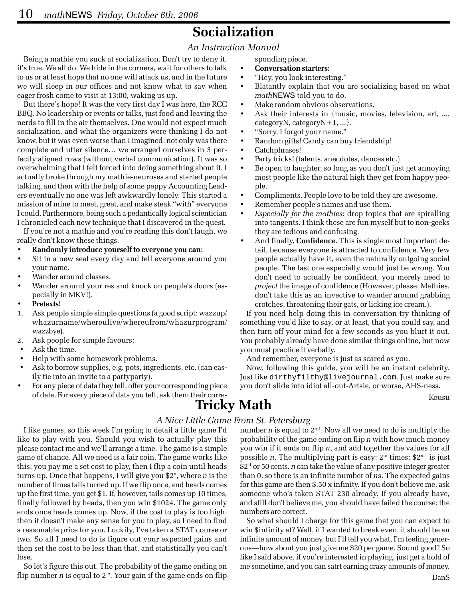### **Socialization**

#### *An Instruction Manual*

Being a mathie you suck at socialization. Don't try to deny it, it's true. We all do. We hide in the corners, wait for others to talk to us or at least hope that no one will attack us, and in the future we will sleep in our offices and not know what to say when eager frosh come to visit at 13:00, waking us up.

But there's hope! It was the very first day I was here, the RCC BBQ. No leadership or events or talks, just food and leaving the nerds to fill in the air themselves. One would not expect much socialization, and what the organizers were thinking I do not know, but it was even worse than I imagined: not only was there complete and utter silence… we arranged ourselves in 3 perfectly aligned rows (without verbal communication). It was so overwhelming that I felt forced into doing something about it. I actually broke through my mathie-neuroses and started people talking, and then with the help of some peppy Accounting Leaders eventually no one was left awkwardly lonely. This started a mission of mine to meet, greet, and make steak "with" everyone I could. Furthermore, being such a pedantically logical scientician I chronicled each new technique that I discovered in the quest.

If you're not a mathie and you're reading this don't laugh, we really don't know these things.

- **Randomly introduce yourself to everyone you can:**
- Sit in a new seat every day and tell everyone around you your name.
- Wander around classes.
- Wander around your res and knock on people's doors (especially in MKV!).
- **Pretexts!**
- 1. Ask people simple simple questions (a good script: wazzup/ whazurname/whereulive/whereufrom/whazurprogram/ wazzbye).
- 2. Ask people for simple favours:
- Ask the time.
- Help with some homework problems.
- Ask to borrow supplies, e.g. pots, ingredients, etc. (can easily tie into an invite to a partyparty).
- For any piece of data they tell, offer your corresponding piece of data. For every piece of data you tell, ask them their corre-

sponding piece.

- **Conversation starters:**
- "Hey, you look interesting."
- Blatantly explain that you are socializing based on what *math*NEWS told you to do.
- Make random obvious observations.
- Ask their interests in {music, movies, television, art, ..., categoryN, categoryN+1, ...}.
- "Sorry, I forgot your name."
- Random gifts! Candy can buy friendship!
- Catchphrases!
- Party tricks! (talents, anecdotes, dances etc.)
- Be open to laughter, so long as you don't just get annoying most people like the natural high they get from happy people.
- Compliments. People love to be told they are awesome.
- Remember people's names and use them.
- *Especially for the mathies*: drop topics that are spiralling into tangents. I think these are fun myself but to non-geeks they are tedious and confusing.
- And finally, **Confidence**. This is single most important detail, because everyone is attracted to confidence. Very few people actually have it, even the naturally outgoing social people. The last one especially would just be wrong. You don't need to actually be confident, you merely need to *project* the image of confidence (However, please, Mathies, don't take this as an invective to wander around grabbing crotches, threatening their gats, or licking ice cream.).

If you need help doing this in conversation try thinking of something you'd like to say, or at least, that you could say, and then turn off your mind for a few seconds as you blurt it out. You probably already have done similar things online, but now you must practice it verbally.

And remember, everyone is just as scared as you.

Now, following this guide, you will be an instant celebrity. Just like dirthyfilthy@livejournal.com. Just make sure you don't slide into idiot all-out-Artsie, or worse, AHS-ness.

### neir corre-<br>**Tricky Math** Kousu

#### *A Nice Little Game From St. Petersburg*

I like games, so this week I'm going to detail a little game I'd like to play with you. Should you wish to actually play this please contact me and we'll arrange a time. The game is a simple game of chance. All we need is a fair coin. The game works like this: you pay me a set cost to play, then I flip a coin until heads turns up. Once that happens, I will give you \$2*<sup>n</sup>*, where *n* is the number of times tails turned up. If we flip once, and heads comes up the first time, you get \$1. If, however, tails comes up 10 times, finally followed by heads, then you win \$1024. The game only ends once heads comes up. Now, if the cost to play is too high, then it doesn't make any sense for you to play, so I need to find a reasonable price for you. Luckily, I've taken a STAT course or two. So all I need to do is figure out your expected gains and then set the cost to be less than that, and statistically you can't lose.

So let's figure this out. The probability of the game ending on flip number *n* is equal to 2-*<sup>n</sup>*. Your gain if the game ends on flip number *n* is equal to 2*<sup>n</sup>*-1. Now all we need to do is multiply the probability of the game ending on flip *n* with how much money you win if it ends on flip *n*, and add together the values for all possible *n*. The multiplying part is easy: 2-*<sup>n</sup>* times; \$2*<sup>n</sup>*-1 is just \$2-1 or 50 cents. *n* can take the value of any positive integer greater than 0, so there is an infinite number of *n*s. The expected gains for this game are then \$.50 x infinity. If you don't believe me, ask someone who's taken STAT 230 already. If you already have, and still don't believe me, you should have failed the course; the numbers are correct.

So what should I charge for this game that you can expect to win \$infinity at? Well, if I wanted to break even, it should be an infinite amount of money, but I'll tell you what, I'm feeling generous—how about you just give me \$20 per game. Sound good? So like I said above, if you're interested in playing, just get a hold of me sometime, and you can satrt earning crazy amounts of money.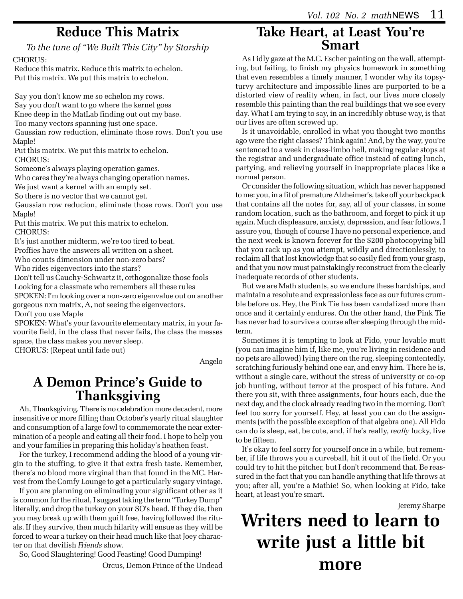### **Reduce This Matrix**

*To the tune of "We Built This City" by Starship*

CHORUS:

 Reduce this matrix. Reduce this matrix to echelon. Put this matrix. We put this matrix to echelon.

 Say you don't know me so echelon my rows. Say you don't want to go where the kernel goes Knee deep in the MatLab finding out out my base.

Too many vectors spanning just one space.

 Gaussian row reduction, eliminate those rows. Don't you use Maple!

 Put this matrix. We put this matrix to echelon. CHORUS:

Someone's always playing operation games.

Who cares they're always changing operation names.

We just want a kernel with an empty set.

So there is no vector that we cannot get.

 Gaussian row reducion, eliminate those rows. Don't you use Maple!

 Put this matrix. We put this matrix to echelon. CHORUS:

It's just another midterm, we're too tired to beat.

Proffies have the answers all written on a sheet.

Who counts dimension under non-zero bars?

Who rides eigenvectors into the stars?

 Don't tell us Cauchy-Schwartz it, orthogonalize those fools Looking for a classmate who remembers all these rules

 SPOKEN: I'm looking over a non-zero eigenvalue out on another gorgeous nxn matrix, A, not seeing the eigenvectors.

Don't you use Maple

 SPOKEN: What's your favourite elementary matrix, in your favourite field, in the class that never fails, the class the messes space, the class makes you never sleep.

CHORUS: (Repeat until fade out)

Angelo

### **A Demon Prince's Guide to Thanksgiving**

Ah, Thanksgiving. There is no celebration more decadent, more insensitive or more filling than October's yearly ritual slaughter and consumption of a large fowl to commemorate the near extermination of a people and eating all their food. I hope to help you and your families in preparing this holiday's heathen feast.

For the turkey, I recommend adding the blood of a young virgin to the stuffing, to give it that extra fresh taste. Remember, there's no blood more virginal than that found in the MC. Harvest from the Comfy Lounge to get a particularly sugary vintage.

If you are planning on eliminating your significant other as it is common for the ritual, I suggest taking the term "Turkey Dump" literally, and drop the turkey on your SO's head. If they die, then you may break up with them guilt free, having followed the rituals. If they survive, then much hilarity will ensue as they will be forced to wear a turkey on their head much like that Joey character on that devilish *Friends* show.

So, Good Slaughtering! Good Feasting! Good Dumping!

Orcus, Demon Prince of the Undead

### **Take Heart, at Least You're Smart**

As I idly gaze at the M.C. Escher painting on the wall, attempting, but failing, to finish my physics homework in something that even resembles a timely manner, I wonder why its topsyturvy architecture and impossible lines are purported to be a distorted view of reality when, in fact, our lives more closely resemble this painting than the real buildings that we see every day. What I am trying to say, in an incredibly obtuse way, is that our lives are often screwed up.

Is it unavoidable, enrolled in what you thought two months ago were the right classes? Think again! And, by the way, you're sentenced to a week in class-limbo hell, making regular stops at the registrar and undergraduate office instead of eating lunch, partying, and relieving yourself in inappropriate places like a normal person.

Or consider the following situation, which has never happened to me: you, in a fit of premature Alzheimer's, take off your backpack that contains all the notes for, say, all of your classes, in some random location, such as the bathroom, and forget to pick it up again. Much displeasure, anxiety, depression, and fear follows, I assure you, though of course I have no personal experience, and the next week is known forever for the \$200 photocopying bill that you rack up as you attempt, wildly and directionlessly, to reclaim all that lost knowledge that so easily fled from your grasp, and that you now must painstakingly reconstruct from the clearly inadequate records of other students.

But we are Math students, so we endure these hardships, and maintain a resolute and expressionless face as our futures crumble before us. Hey, the Pink Tie has been vandalized more than once and it certainly endures. On the other hand, the Pink Tie has never had to survive a course after sleeping through the midterm.

Sometimes it is tempting to look at Fido, your lovable mutt (you can imagine him if, like me, you're living in residence and no pets are allowed) lying there on the rug, sleeping contentedly, scratching furiously behind one ear, and envy him. There he is, without a single care, without the stress of university or co-op job hunting, without terror at the prospect of his future. And there you sit, with three assignments, four hours each, due the next day, and the clock already reading two in the morning. Don't feel too sorry for yourself. Hey, at least you can do the assignments (with the possible exception of that algebra one). All Fido can do is sleep, eat, be cute, and, if he's really, *really* lucky, live to be fifteen.

It's okay to feel sorry for yourself once in a while, but remember, if life throws you a curveball, hit it out of the field. Or you could try to hit the pitcher, but I don't recommend that. Be reassured in the fact that you can handle anything that life throws at you; after all, you're a Mathie! So, when looking at Fido, take heart, at least you're smart.

Jeremy Sharpe

### **Writers need to learn to write just a little bit more**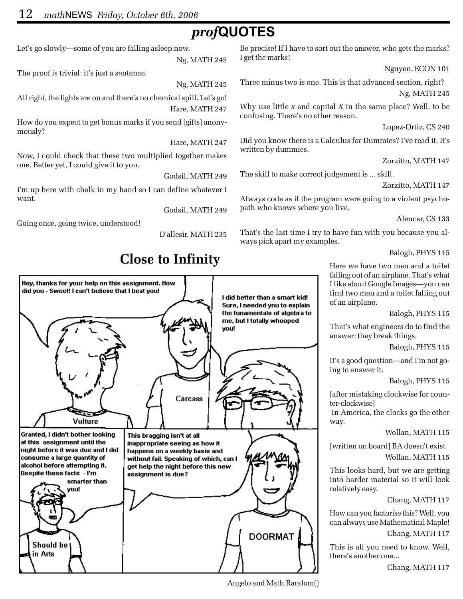### *prof***QUOTES**

Let's go slowly—some of you are falling asleep now.

Ng, MATH 245

The proof is trivial: it's just a sentence.

Ng, MATH 245

All right, the lights are on and there's no chemical spill. Let's go! Hare, MATH 247

How do you expect to get bonus marks if you send [gifts] anonymously?

Hare, MATH 247

Now, I could check that these two multiplied together makes one. Better yet, I could give it to you.

Godsil, MATH 249

I'm up here with chalk in my hand so I can define whatever I want.

Godsil, MATH 249

Going once, going twice, understood!

D'allesir, MATH 235



Angelo and Math.Random()

Be precise! If I have to sort out the answer, who gets the marks? I get the marks!

Nguyen, ECON 101

Three minus two is one. This is that advanced section, right? Ng, MATH 245

Why use little *x* and capital *X* in the same place? Well, to be confusing. There's no other reason.

Lopez-Ortiz, CS 240

Did you know there is a Calculus for Dummies? I've read it. It's written by dummies.

Zorzitto, MATH 147

The skill to make correct judgement is ... skill.

Always code as if the program were going to a violent psychopath who knows where you live.

Alencar, CS 133

That's the last time I try to have fun with you because you always pick apart my examples.

Balogh, PHYS 115

Here we have two men and a toilet falling out of an airplane. That's what I like about Google Images—you can find two men and a toilet falling out of an airplane.

Balogh, PHYS 115

That's what engineers do to find the answer: they break things.

Balogh, PHYS 115

It's a good question—and I'm not going to answer it.

Balogh, PHYS 115

[after mistaking clockwise for counter-clockwise]

 In America, the clocks go the other way.

#### Wollan, MATH 115

[written on board] BA doesn't exist Wollan, MATH 115

This looks hard, but we are getting into harder material so it will look relatively easy.

Chang, MATH 117

How can you factorise this? Well, you can always use Mathematical Maple! Chang, MATH 117

This is all you need to know. Well, there's another one...

Chang, MATH 117

Zorzitto, MATH 147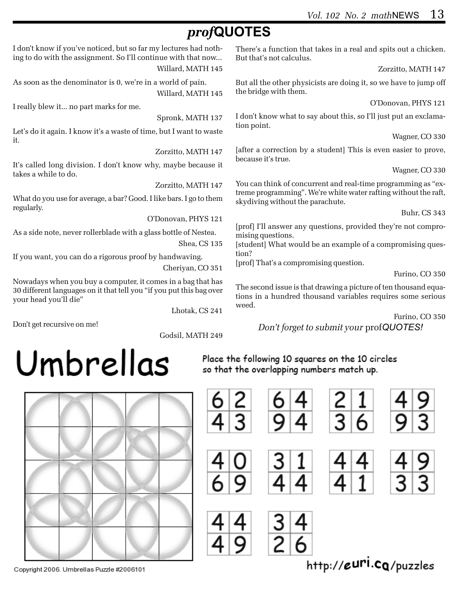### *prof***QUOTES**

I don't know if you've noticed, but so far my lectures had nothing to do with the assignment. So I'll continue with that now... Willard, MATH 145

As soon as the denominator is 0, we're in a world of pain. Willard, MATH 145

I really blew it... no part marks for me.

Spronk, MATH 137

Let's do it again. I know it's a waste of time, but I want to waste it.

Zorzitto, MATH 147

It's called long division. I don't know why, maybe because it takes a while to do.

Zorzitto, MATH 147

What do you use for average, a bar? Good. I like bars. I go to them regularly.

O'Donovan, PHYS 121

As a side note, never rollerblade with a glass bottle of Nestea. Shea, CS 135

If you want, you can do a rigorous proof by handwaving. Cheriyan, CO 351

Nowadays when you buy a computer, it comes in a bag that has 30 different languages on it that tell you "if you put this bag over your head you'll die"

Lhotak, CS 241

Don't get recursive on me!

Godsil, MATH 249

There's a function that takes in a real and spits out a chicken. But that's not calculus.

Zorzitto, MATH 147

But all the other physicists are doing it, so we have to jump off the bridge with them.

O'Donovan, PHYS 121

I don't know what to say about this, so I'll just put an exclamation point.

Wagner, CO 330

[after a correction by a student] This is even easier to prove, because it's true.

Wagner, CO 330

You can think of concurrent and real-time programming as "extreme programming". We're white water rafting without the raft, skydiving without the parachute.

Buhr, CS 343

[prof] I'll answer any questions, provided they're not compromising questions.

[student] What would be an example of a compromising question?

[prof] That's a compromising question.

Furino, CO 350

The second issue is that drawing a picture of ten thousand equations in a hundred thousand variables requires some serious weed.

Furino, CO 350

*Don't forget to submit your* prof*QUOTES!*

# Umbrellas

Place the following 10 squares on the 10 circles so that the overlapping numbers match up.



Copyright 2006. Umbrellas Puzzle #2006101

http://euri.cq/puzzles